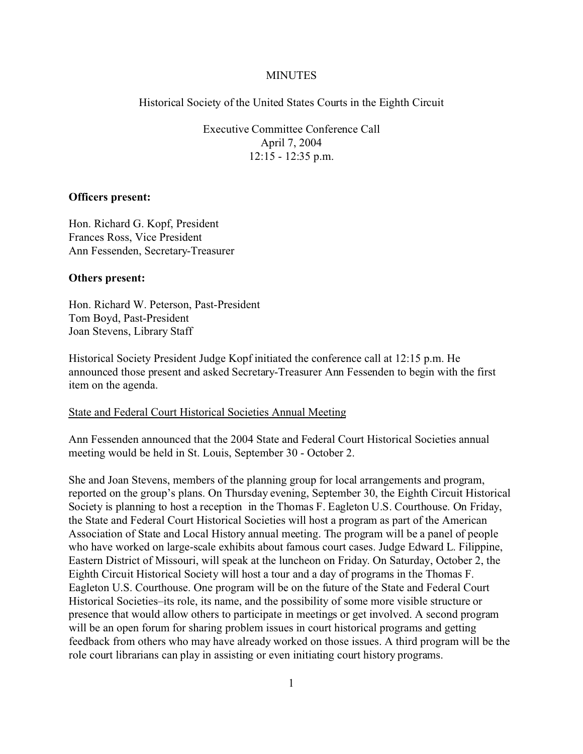## **MINUTES**

Historical Society of the United States Courts in the Eighth Circuit

Executive Committee Conference Call April 7, 2004 12:15 - 12:35 p.m.

## **Officers present:**

Hon. Richard G. Kopf, President Frances Ross, Vice President Ann Fessenden, Secretary-Treasurer

## **Others present:**

Hon. Richard W. Peterson, Past-President Tom Boyd, Past-President Joan Stevens, Library Staff

Historical Society President Judge Kopf initiated the conference call at 12:15 p.m. He announced those present and asked Secretary-Treasurer Ann Fessenden to begin with the first item on the agenda.

#### State and Federal Court Historical Societies Annual Meeting

Ann Fessenden announced that the 2004 State and Federal Court Historical Societies annual meeting would be held in St. Louis, September 30 - October 2.

She and Joan Stevens, members of the planning group for local arrangements and program, reported on the group's plans. On Thursday evening, September 30, the Eighth Circuit Historical Society is planning to host a reception in the Thomas F. Eagleton U.S. Courthouse. On Friday, the State and Federal Court Historical Societies will host a program as part of the American Association of State and Local History annual meeting. The program will be a panel of people who have worked on large-scale exhibits about famous court cases. Judge Edward L. Filippine, Eastern District of Missouri, will speak at the luncheon on Friday. On Saturday, October 2, the Eighth Circuit Historical Society will host a tour and a day of programs in the Thomas F. Eagleton U.S. Courthouse. One program will be on the future of the State and Federal Court Historical Societies–its role, its name, and the possibility of some more visible structure or presence that would allow others to participate in meetings or get involved. A second program will be an open forum for sharing problem issues in court historical programs and getting feedback from others who may have already worked on those issues. A third program will be the role court librarians can play in assisting or even initiating court history programs.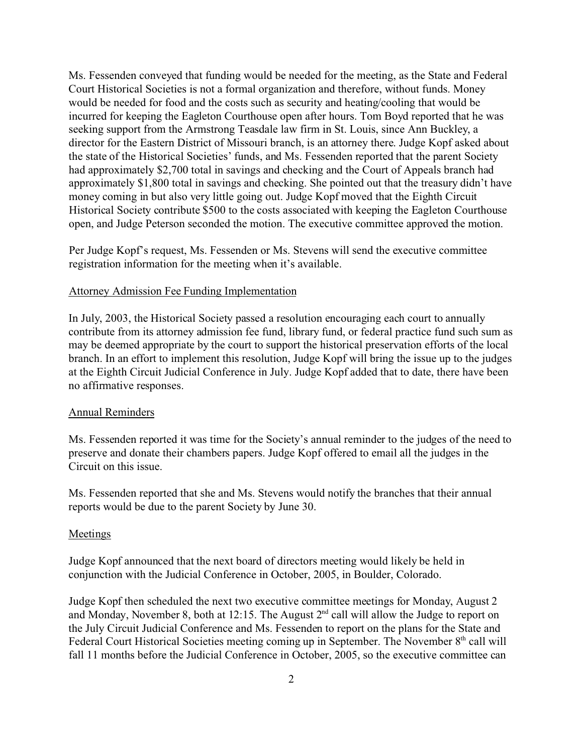Ms. Fessenden conveyed that funding would be needed for the meeting, as the State and Federal Court Historical Societies is not a formal organization and therefore, without funds. Money would be needed for food and the costs such as security and heating/cooling that would be incurred for keeping the Eagleton Courthouse open after hours. Tom Boyd reported that he was seeking support from the Armstrong Teasdale law firm in St. Louis, since Ann Buckley, a director for the Eastern District of Missouri branch, is an attorney there. Judge Kopf asked about the state of the Historical Societies' funds, and Ms. Fessenden reported that the parent Society had approximately \$2,700 total in savings and checking and the Court of Appeals branch had approximately \$1,800 total in savings and checking. She pointed out that the treasury didn't have money coming in but also very little going out. Judge Kopf moved that the Eighth Circuit Historical Society contribute \$500 to the costs associated with keeping the Eagleton Courthouse open, and Judge Peterson seconded the motion. The executive committee approved the motion.

Per Judge Kopf's request, Ms. Fessenden or Ms. Stevens will send the executive committee registration information for the meeting when it's available.

### Attorney Admission Fee Funding Implementation

In July, 2003, the Historical Society passed a resolution encouraging each court to annually contribute from its attorney admission fee fund, library fund, or federal practice fund such sum as may be deemed appropriate by the court to support the historical preservation efforts of the local branch. In an effort to implement this resolution, Judge Kopf will bring the issue up to the judges at the Eighth Circuit Judicial Conference in July. Judge Kopf added that to date, there have been no affirmative responses.

#### Annual Reminders

Ms. Fessenden reported it was time for the Society's annual reminder to the judges of the need to preserve and donate their chambers papers. Judge Kopf offered to email all the judges in the Circuit on this issue.

Ms. Fessenden reported that she and Ms. Stevens would notify the branches that their annual reports would be due to the parent Society by June 30.

## Meetings

Judge Kopf announced that the next board of directors meeting would likely be held in conjunction with the Judicial Conference in October, 2005, in Boulder, Colorado.

Judge Kopf then scheduled the next two executive committee meetings for Monday, August 2 and Monday, November 8, both at 12:15. The August  $2<sup>nd</sup>$  call will allow the Judge to report on the July Circuit Judicial Conference and Ms. Fessenden to report on the plans for the State and Federal Court Historical Societies meeting coming up in September. The November 8<sup>th</sup> call will fall 11 months before the Judicial Conference in October, 2005, so the executive committee can